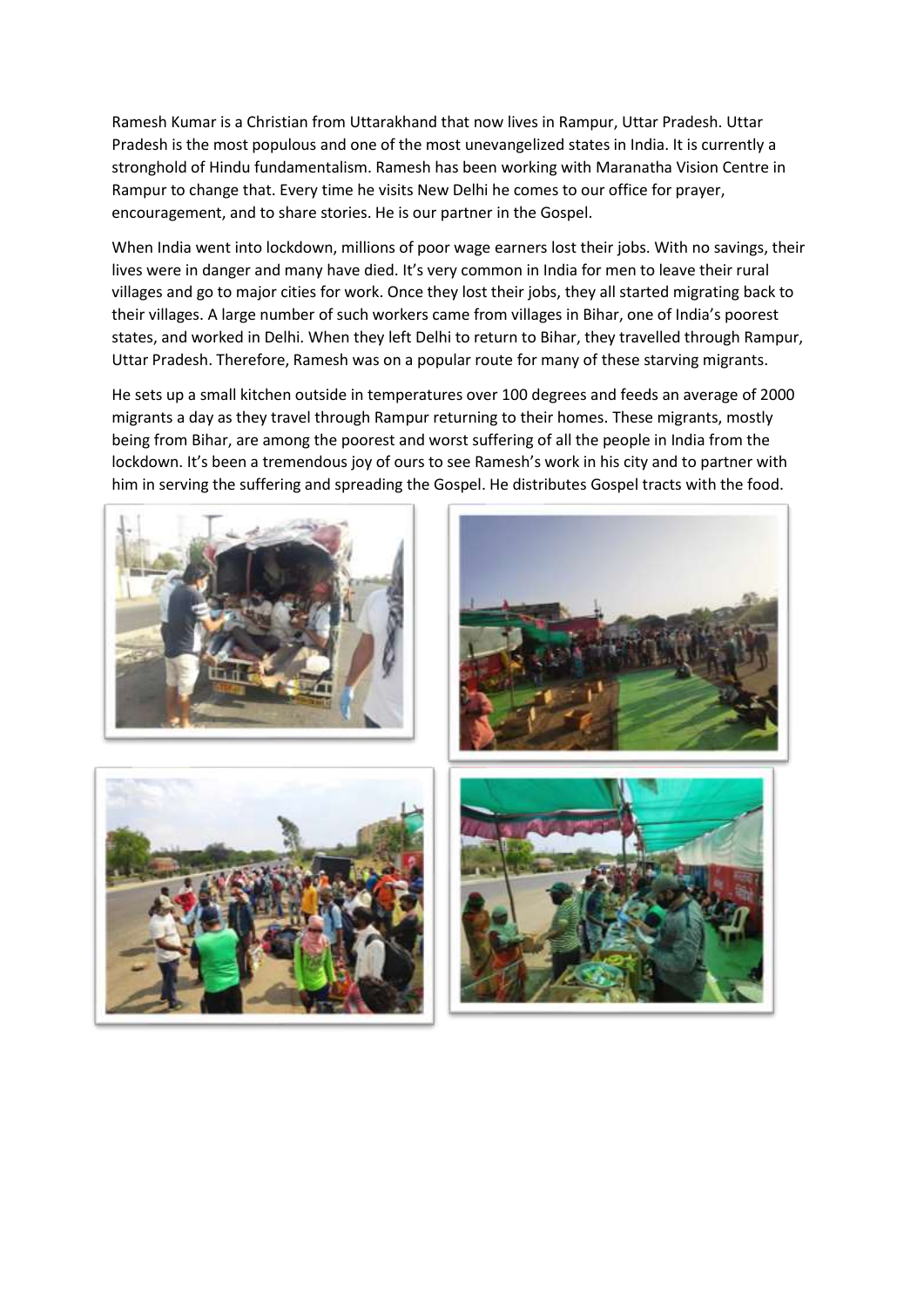Ramesh Kumar is a Christian from Uttarakhand that now lives in Rampur, Uttar Pradesh. Uttar Pradesh is the most populous and one of the most unevangelized states in India. It is currently a stronghold of Hindu fundamentalism. Ramesh has been working with Maranatha Vision Centre in Rampur to change that. Every time he visits New Delhi he comes to our office for prayer, encouragement, and to share stories. He is our partner in the Gospel.

When India went into lockdown, millions of poor wage earners lost their jobs. With no savings, their lives were in danger and many have died. It's very common in India for men to leave their rural villages and go to major cities for work. Once they lost their jobs, they all started migrating back to their villages. A large number of such workers came from villages in Bihar, one of India's poorest states, and worked in Delhi. When they left Delhi to return to Bihar, they travelled through Rampur, Uttar Pradesh. Therefore, Ramesh was on a popular route for many of these starving migrants.

He sets up a small kitchen outside in temperatures over 100 degrees and feeds an average of 2000 migrants a day as they travel through Rampur returning to their homes. These migrants, mostly being from Bihar, are among the poorest and worst suffering of all the people in India from the lockdown. It's been a tremendous joy of ours to see Ramesh's work in his city and to partner with him in serving the suffering and spreading the Gospel. He distributes Gospel tracts with the food.